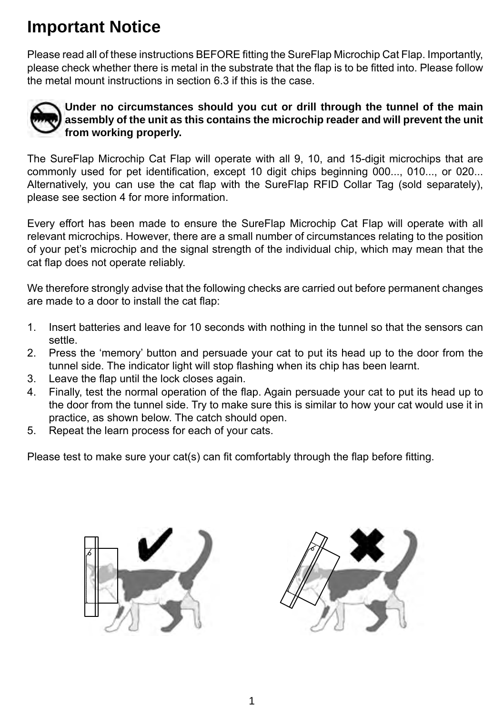## **Important Notice**

Please read all of these instructions BEFORE fitting the SureFlap Microchip Cat Flap. Importantly, please check whether there is metal in the substrate that the flap is to be fitted into. Please follow the metal mount instructions in section 6.3 if this is the case.



#### **Under no circumstances should you cut or drill through the tunnel of the main assembly of the unit as this contains the microchip reader and will prevent the unit from working properly.**

The SureFlap Microchip Cat Flap will operate with all 9, 10, and 15-digit microchips that are commonly used for pet identification, except 10 digit chips beginning 000..., 010..., or 020... Alternatively, you can use the cat flap with the SureFlap RFID Collar Tag (sold separately), please see section 4 for more information.

Every effort has been made to ensure the SureFlap Microchip Cat Flap will operate with all relevant microchips. However, there are a small number of circumstances relating to the position of your pet's microchip and the signal strength of the individual chip, which may mean that the cat flap does not operate reliably.

We therefore strongly advise that the following checks are carried out before permanent changes are made to a door to install the cat flap:

- 1. Insert batteries and leave for 10 seconds with nothing in the tunnel so that the sensors can settle.
- 2. Press the 'memory' button and persuade your cat to put its head up to the door from the tunnel side. The indicator light will stop flashing when its chip has been learnt.
- 3. Leave the flap until the lock closes again.
- 4. Finally, test the normal operation of the flap. Again persuade your cat to put its head up to the door from the tunnel side. Try to make sure this is similar to how your cat would use it in practice, as shown below. The catch should open.
- 5. Repeat the learn process for each of your cats.

Please test to make sure your cat(s) can fit comfortably through the flap before fitting.



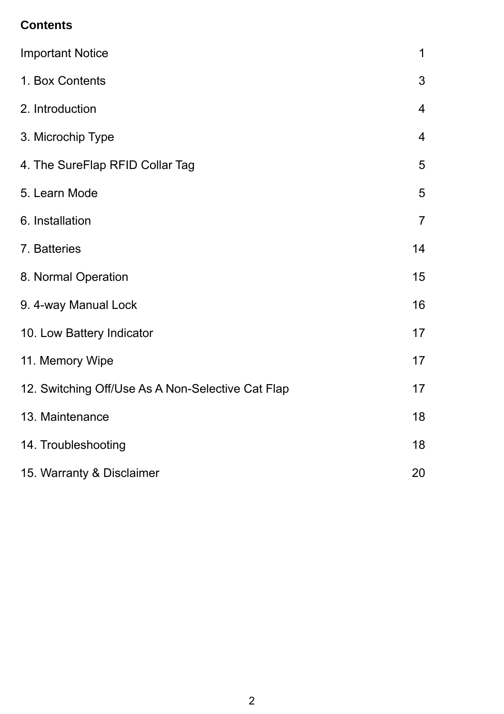### **Contents**

| <b>Important Notice</b>                           | $\mathbf 1$ |
|---------------------------------------------------|-------------|
| 1. Box Contents                                   | 3           |
| 2. Introduction                                   | 4           |
| 3. Microchip Type                                 | 4           |
| 4. The SureFlap RFID Collar Tag                   | 5           |
| 5. Learn Mode                                     | 5           |
| 6. Installation                                   | 7           |
| 7. Batteries                                      | 14          |
| 8. Normal Operation                               | 15          |
| 9. 4-way Manual Lock                              | 16          |
| 10. Low Battery Indicator                         | 17          |
| 11. Memory Wipe                                   | 17          |
| 12. Switching Off/Use As A Non-Selective Cat Flap | 17          |
| 13. Maintenance                                   | 18          |
| 14. Troubleshooting                               | 18          |
| 15. Warranty & Disclaimer                         | 20          |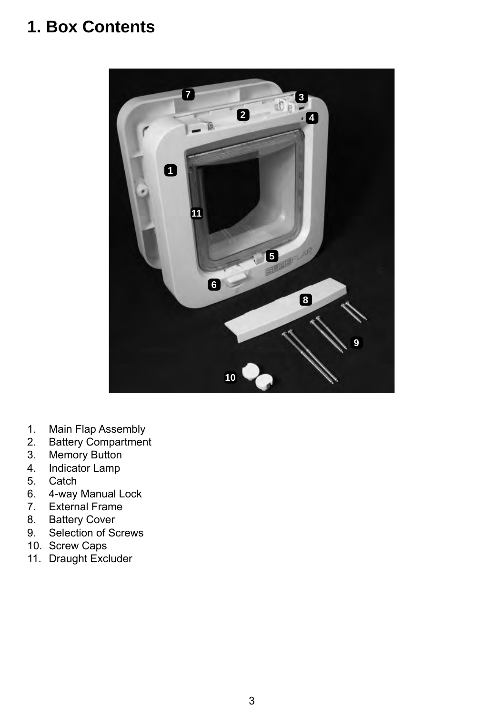### **1. Box Contents**



- 1. Main Flap Assembly<br>2. Battery Compartmen
- Battery Compartment
- 3. Memory Button
- 4. Indicator Lamp
- 5. Catch
- 6. 4-way Manual Lock
- 7. External Frame
- 8. Battery Cover
- 9. Selection of Screws
- 10. Screw Caps
- 11. Draught Excluder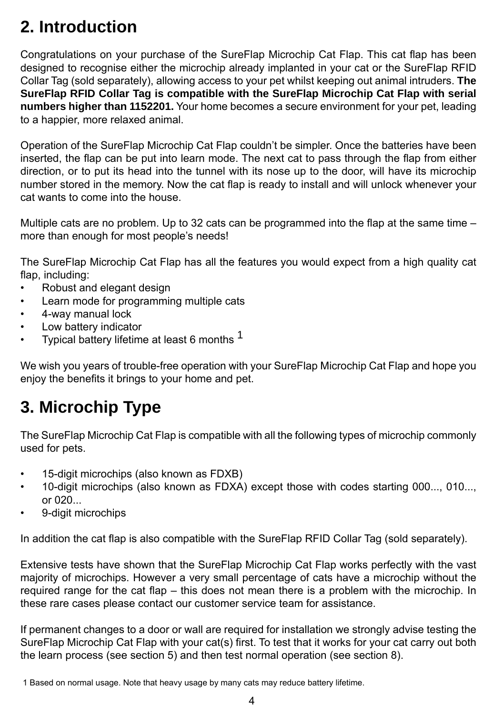## **2. Introduction**

Congratulations on your purchase of the SureFlap Microchip Cat Flap. This cat flap has been designed to recognise either the microchip already implanted in your cat or the SureFlap RFID Collar Tag (sold separately), allowing access to your pet whilst keeping out animal intruders. **The SureFlap RFID Collar Tag is compatible with the SureFlap Microchip Cat Flap with serial numbers higher than 1152201.** Your home becomes a secure environment for your pet, leading to a happier, more relaxed animal.

Operation of the SureFlap Microchip Cat Flap couldn't be simpler. Once the batteries have been inserted, the flap can be put into learn mode. The next cat to pass through the flap from either direction, or to put its head into the tunnel with its nose up to the door, will have its microchip number stored in the memory. Now the cat flap is ready to install and will unlock whenever your cat wants to come into the house.

Multiple cats are no problem. Up to 32 cats can be programmed into the flap at the same time – more than enough for most people's needs!

The SureFlap Microchip Cat Flap has all the features you would expect from a high quality cat flap, including:

- Robust and elegant design
- Learn mode for programming multiple cats
- 4-way manual lock
- Low battery indicator
- Typical battery lifetime at least 6 months 1

We wish you years of trouble-free operation with your SureFlap Microchip Cat Flap and hope you enjoy the benefits it brings to your home and pet.

# **3. Microchip Type**

The SureFlap Microchip Cat Flap is compatible with all the following types of microchip commonly used for pets.

- 15-digit microchips (also known as FDXB)
- 10-digit microchips (also known as FDXA) except those with codes starting 000..., 010..., or  $020$ .
- 9-digit microchips

In addition the cat flap is also compatible with the SureFlap RFID Collar Tag (sold separately).

Extensive tests have shown that the SureFlap Microchip Cat Flap works perfectly with the vast majority of microchips. However a very small percentage of cats have a microchip without the required range for the cat flap – this does not mean there is a problem with the microchip. In these rare cases please contact our customer service team for assistance.

If permanent changes to a door or wall are required for installation we strongly advise testing the SureFlap Microchip Cat Flap with your cat(s) first. To test that it works for your cat carry out both the learn process (see section 5) and then test normal operation (see section 8).

 <sup>1</sup> Based on normal usage. Note that heavy usage by many cats may reduce battery lifetime.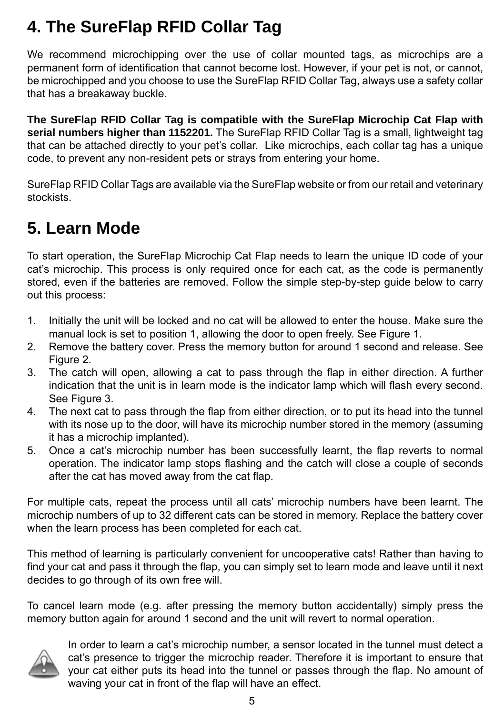# **4. The SureFlap RFID Collar Tag**

We recommend microchipping over the use of collar mounted tags, as microchips are a permanent form of identification that cannot become lost. However, if your pet is not, or cannot, be microchipped and you choose to use the SureFlap RFID Collar Tag, always use a safety collar that has a breakaway buckle.

**The SureFlap RFID Collar Tag is compatible with the SureFlap Microchip Cat Flap with serial numbers higher than 1152201.** The SureFlap RFID Collar Tag is a small, lightweight tag that can be attached directly to your pet's collar. Like microchips, each collar tag has a unique code, to prevent any non-resident pets or strays from entering your home.

SureFlap RFID Collar Tags are available via the SureFlap website or from our retail and veterinary stockists.

# **5. Learn Mode**

To start operation, the SureFlap Microchip Cat Flap needs to learn the unique ID code of your cat's microchip. This process is only required once for each cat, as the code is permanently stored, even if the batteries are removed. Follow the simple step-by-step guide below to carry out this process:

- 1. Initially the unit will be locked and no cat will be allowed to enter the house. Make sure the manual lock is set to position 1, allowing the door to open freely. See Figure 1.
- 2. Remove the battery cover. Press the memory button for around 1 second and release. See Figure 2.
- 3. The catch will open, allowing a cat to pass through the flap in either direction. A further indication that the unit is in learn mode is the indicator lamp which will flash every second. See Figure 3.
- 4. The next cat to pass through the flap from either direction, or to put its head into the tunnel with its nose up to the door, will have its microchip number stored in the memory (assuming it has a microchip implanted).
- 5. Once a cat's microchip number has been successfully learnt, the flap reverts to normal operation. The indicator lamp stops flashing and the catch will close a couple of seconds after the cat has moved away from the cat flap.

For multiple cats, repeat the process until all cats' microchip numbers have been learnt. The microchip numbers of up to 32 different cats can be stored in memory. Replace the battery cover when the learn process has been completed for each cat.

This method of learning is particularly convenient for uncooperative cats! Rather than having to find your cat and pass it through the flap, you can simply set to learn mode and leave until it next decides to go through of its own free will.

To cancel learn mode (e.g. after pressing the memory button accidentally) simply press the memory button again for around 1 second and the unit will revert to normal operation.



In order to learn a cat's microchip number, a sensor located in the tunnel must detect a cat's presence to trigger the microchip reader. Therefore it is important to ensure that your cat either puts its head into the tunnel or passes through the flap. No amount of waving your cat in front of the flap will have an effect.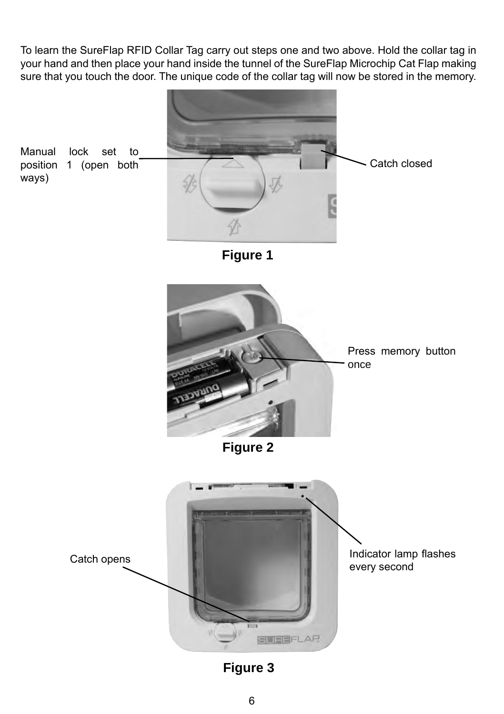To learn the SureFlap RFID Collar Tag carry out steps one and two above. Hold the collar tag in your hand and then place your hand inside the tunnel of the SureFlap Microchip Cat Flap making sure that you touch the door. The unique code of the collar tag will now be stored in the memory.



**Figure 3**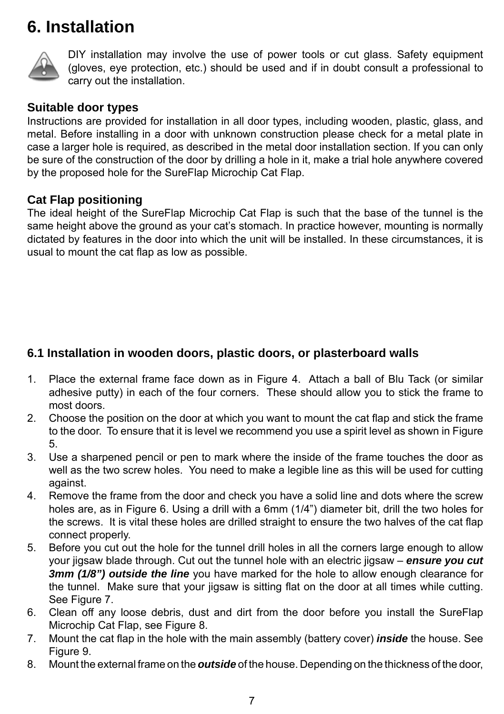### **6. Installation**



DIY installation may involve the use of power tools or cut glass. Safety equipment (gloves, eye protection, etc.) should be used and if in doubt consult a professional to carry out the installation.

#### **Suitable door types**

Instructions are provided for installation in all door types, including wooden, plastic, glass, and metal. Before installing in a door with unknown construction please check for a metal plate in case a larger hole is required, as described in the metal door installation section. If you can only be sure of the construction of the door by drilling a hole in it, make a trial hole anywhere covered by the proposed hole for the SureFlap Microchip Cat Flap.

#### **Cat Flap positioning**

The ideal height of the SureFlap Microchip Cat Flap is such that the base of the tunnel is the same height above the ground as your cat's stomach. In practice however, mounting is normally dictated by features in the door into which the unit will be installed. In these circumstances, it is usual to mount the cat flap as low as possible.

### **6.1 Installation in wooden doors, plastic doors, or plasterboard walls**

- 1. Place the external frame face down as in Figure 4. Attach a ball of Blu Tack (or similar adhesive putty) in each of the four corners. These should allow you to stick the frame to most doors.
- 2. Choose the position on the door at which you want to mount the cat flap and stick the frame to the door. To ensure that it is level we recommend you use a spirit level as shown in Figure 5.
- 3. Use a sharpened pencil or pen to mark where the inside of the frame touches the door as well as the two screw holes. You need to make a legible line as this will be used for cutting against.
- 4. Remove the frame from the door and check you have a solid line and dots where the screw holes are, as in Figure 6. Using a drill with a 6mm (1/4") diameter bit, drill the two holes for the screws. It is vital these holes are drilled straight to ensure the two halves of the cat flap connect properly.
- 5. Before you cut out the hole for the tunnel drill holes in all the corners large enough to allow your jigsaw blade through. Cut out the tunnel hole with an electric jigsaw – *ensure you cut*  **3mm (1/8") outside the line** you have marked for the hole to allow enough clearance for the tunnel. Make sure that your jigsaw is sitting flat on the door at all times while cutting. See Figure 7.
- 6. Clean off any loose debris, dust and dirt from the door before you install the SureFlap Microchip Cat Flap, see Figure 8.
- 7. Mount the cat flap in the hole with the main assembly (battery cover) *inside* the house. See Figure 9.
- 8. Mount the external frame on the *outside* of the house. Depending on the thickness of the door,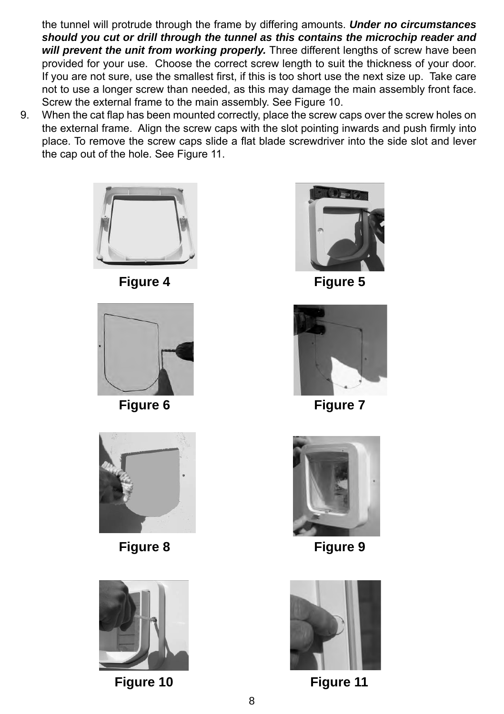the tunnel will protrude through the frame by differing amounts. *Under no circumstances should you cut or drill through the tunnel as this contains the microchip reader and will prevent the unit from working properly.* Three different lengths of screw have been provided for your use. Choose the correct screw length to suit the thickness of your door. If you are not sure, use the smallest first, if this is too short use the next size up. Take care not to use a longer screw than needed, as this may damage the main assembly front face. Screw the external frame to the main assembly. See Figure 10.

9. When the cat flap has been mounted correctly, place the screw caps over the screw holes on the external frame. Align the screw caps with the slot pointing inwards and push firmly into place. To remove the screw caps slide a flat blade screwdriver into the side slot and lever the cap out of the hole. See Figure 11.



**Figure 4**



**Figure 6**



**Figure 8 Figure 9**



**Figure 10 Figure 11**



**Figure 5**



**Figure 7**



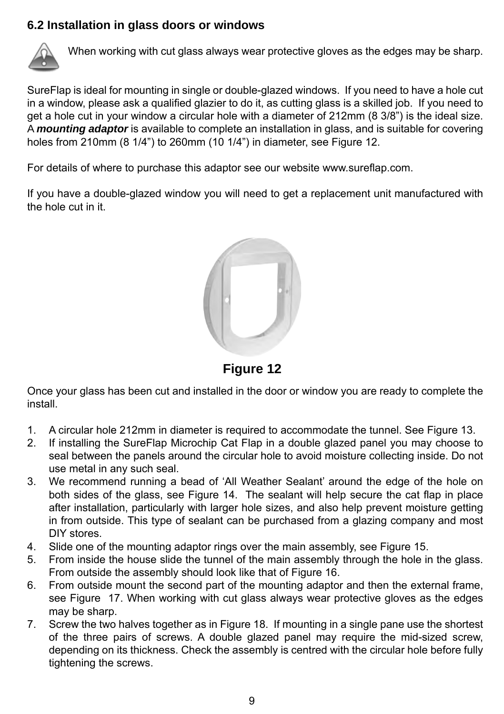### **6.2 Installation in glass doors or windows**



When working with cut glass always wear protective gloves as the edges may be sharp.

SureFlap is ideal for mounting in single or double-glazed windows. If you need to have a hole cut in a window, please ask a qualified glazier to do it, as cutting glass is a skilled job. If you need to get a hole cut in your window a circular hole with a diameter of 212mm (8 3/8") is the ideal size. A *mounting adaptor* is available to complete an installation in glass, and is suitable for covering holes from 210mm (8 1/4") to 260mm (10 1/4") in diameter, see Figure 12.

For details of where to purchase this adaptor see our website www.sureflap.com.

If you have a double-glazed window you will need to get a replacement unit manufactured with the hole cut in it.



**Figure 12**

Once your glass has been cut and installed in the door or window you are ready to complete the install.

- 1. A circular hole 212mm in diameter is required to accommodate the tunnel. See Figure 13.
- 2. If installing the SureFlap Microchip Cat Flap in a double glazed panel you may choose to seal between the panels around the circular hole to avoid moisture collecting inside. Do not use metal in any such seal.
- 3. We recommend running a bead of 'All Weather Sealant' around the edge of the hole on both sides of the glass, see Figure 14. The sealant will help secure the cat flap in place after installation, particularly with larger hole sizes, and also help prevent moisture getting in from outside. This type of sealant can be purchased from a glazing company and most DIY stores.
- 4. Slide one of the mounting adaptor rings over the main assembly, see Figure 15.
- 5. From inside the house slide the tunnel of the main assembly through the hole in the glass. From outside the assembly should look like that of Figure 16.
- 6. From outside mount the second part of the mounting adaptor and then the external frame, see Figure 17. When working with cut glass always wear protective gloves as the edges may be sharp.
- 7. Screw the two halves together as in Figure 18. If mounting in a single pane use the shortest of the three pairs of screws. A double glazed panel may require the mid-sized screw, depending on its thickness. Check the assembly is centred with the circular hole before fully tightening the screws.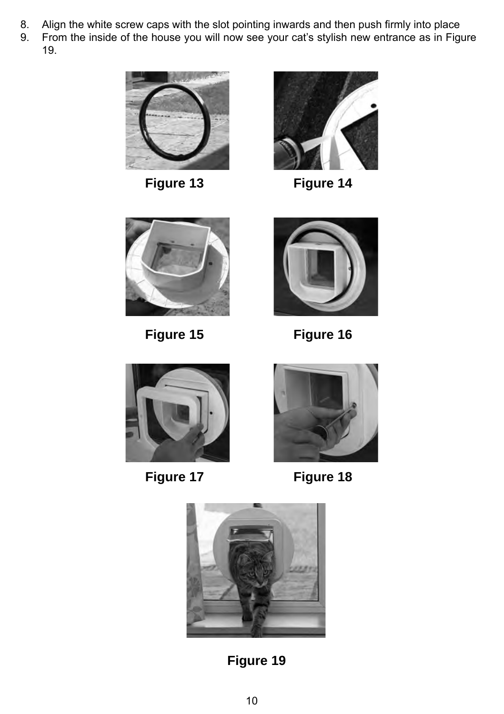- 8. Align the white screw caps with the slot pointing inwards and then push firmly into place<br>9. From the inside of the house you will now see your cat's stylish new entrance as in Figu
- From the inside of the house you will now see your cat's stylish new entrance as in Figure 19.



**Figure 13**



**Figure 14**





**Figure 15 Figure 16**



**Figure 17**



**Figure 18**



**Figure 19**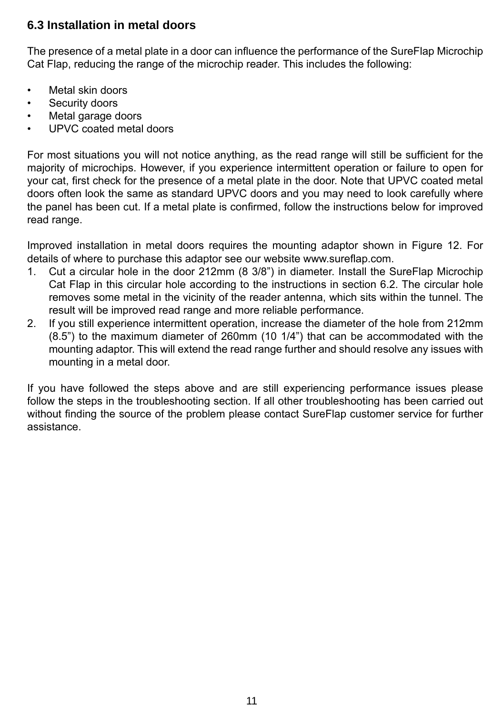### **6.3 Installation in metal doors**

The presence of a metal plate in a door can influence the performance of the SureFlap Microchip Cat Flap, reducing the range of the microchip reader. This includes the following:

- Metal skin doors
- Security doors
- Metal garage doors
- UPVC coated metal doors

For most situations you will not notice anything, as the read range will still be sufficient for the majority of microchips. However, if you experience intermittent operation or failure to open for your cat, first check for the presence of a metal plate in the door. Note that UPVC coated metal doors often look the same as standard UPVC doors and you may need to look carefully where the panel has been cut. If a metal plate is confirmed, follow the instructions below for improved read range.

Improved installation in metal doors requires the mounting adaptor shown in Figure 12. For details of where to purchase this adaptor see our website www.sureflap.com.

- 1. Cut a circular hole in the door 212mm (8 3/8") in diameter. Install the SureFlap Microchip Cat Flap in this circular hole according to the instructions in section 6.2. The circular hole removes some metal in the vicinity of the reader antenna, which sits within the tunnel. The result will be improved read range and more reliable performance.
- 2. If you still experience intermittent operation, increase the diameter of the hole from 212mm (8.5") to the maximum diameter of 260mm (10 1/4") that can be accommodated with the mounting adaptor. This will extend the read range further and should resolve any issues with mounting in a metal door.

If you have followed the steps above and are still experiencing performance issues please follow the steps in the troubleshooting section. If all other troubleshooting has been carried out without finding the source of the problem please contact SureFlap customer service for further assistance.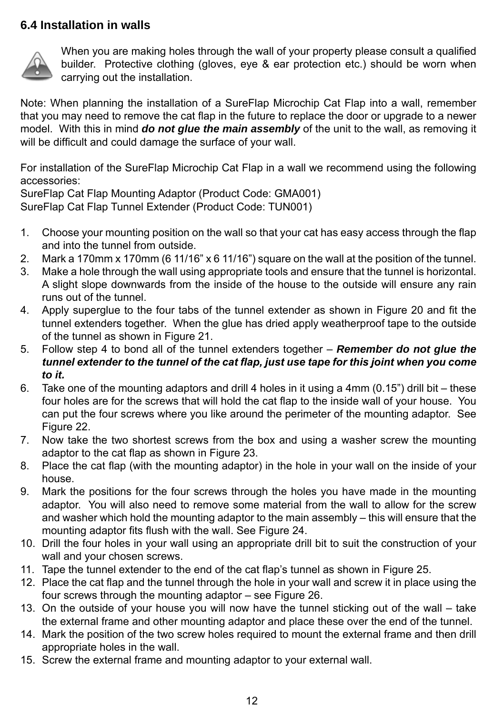#### **6.4 Installation in walls**



When you are making holes through the wall of your property please consult a qualified builder. Protective clothing (gloves, eye & ear protection etc.) should be worn when carrying out the installation.

Note: When planning the installation of a SureFlap Microchip Cat Flap into a wall, remember that you may need to remove the cat flap in the future to replace the door or upgrade to a newer model. With this in mind *do not glue the main assembly* of the unit to the wall, as removing it will be difficult and could damage the surface of your wall.

For installation of the SureFlap Microchip Cat Flap in a wall we recommend using the following accessories:

SureFlap Cat Flap Mounting Adaptor (Product Code: GMA001) SureFlap Cat Flap Tunnel Extender (Product Code: TUN001)

- 1. Choose your mounting position on the wall so that your cat has easy access through the flap and into the tunnel from outside.
- 2. Mark a 170mm x 170mm (6 11/16" x 6 11/16") square on the wall at the position of the tunnel.
- 3. Make a hole through the wall using appropriate tools and ensure that the tunnel is horizontal. A slight slope downwards from the inside of the house to the outside will ensure any rain runs out of the tunnel.
- 4. Apply superglue to the four tabs of the tunnel extender as shown in Figure 20 and fit the tunnel extenders together. When the glue has dried apply weatherproof tape to the outside of the tunnel as shown in Figure 21.
- 5. Follow step 4 to bond all of the tunnel extenders together *Remember do not glue the tunnel extender to the tunnel of the cat flap, just use tape for this joint when you come to it.*
- 6. Take one of the mounting adaptors and drill 4 holes in it using a 4mm (0.15") drill bit these four holes are for the screws that will hold the cat flap to the inside wall of your house. You can put the four screws where you like around the perimeter of the mounting adaptor. See Figure 22.
- 7. Now take the two shortest screws from the box and using a washer screw the mounting adaptor to the cat flap as shown in Figure 23.
- 8. Place the cat flap (with the mounting adaptor) in the hole in your wall on the inside of your house.
- 9. Mark the positions for the four screws through the holes you have made in the mounting adaptor. You will also need to remove some material from the wall to allow for the screw and washer which hold the mounting adaptor to the main assembly – this will ensure that the mounting adaptor fits flush with the wall. See Figure 24.
- 10. Drill the four holes in your wall using an appropriate drill bit to suit the construction of your wall and your chosen screws.
- 11. Tape the tunnel extender to the end of the cat flap's tunnel as shown in Figure 25.
- 12. Place the cat flap and the tunnel through the hole in your wall and screw it in place using the four screws through the mounting adaptor – see Figure 26.
- 13. On the outside of your house you will now have the tunnel sticking out of the wall take the external frame and other mounting adaptor and place these over the end of the tunnel.
- 14. Mark the position of the two screw holes required to mount the external frame and then drill appropriate holes in the wall.
- 15. Screw the external frame and mounting adaptor to your external wall.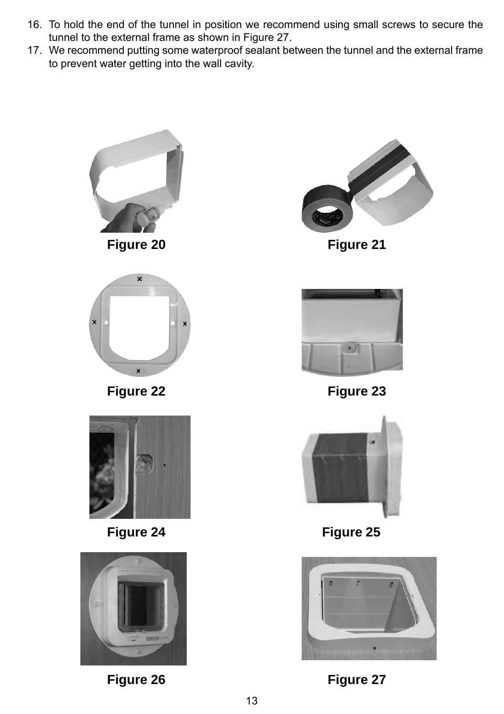- 16. To hold the end of the tunnel in position we recommend using small screws to secure the tunnel to the external frame as shown in Figure 27.
- 17. We recommend putting some waterproof sealant between the tunnel and the external frame to prevent water getting into the wall cavity.

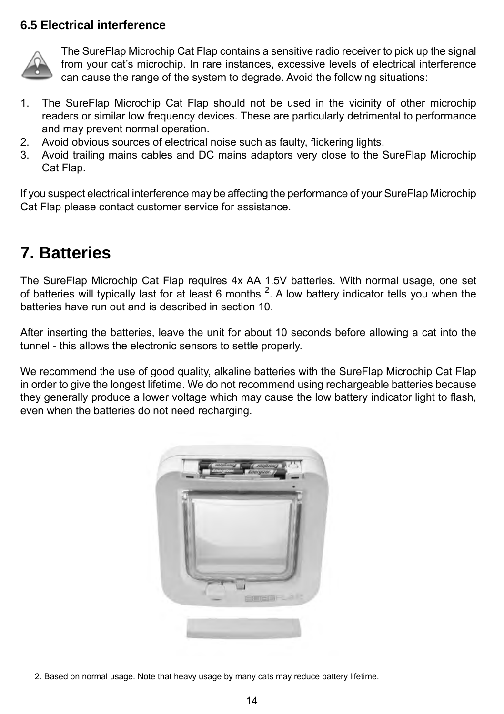#### **6.5 Electrical interference**



The SureFlap Microchip Cat Flap contains a sensitive radio receiver to pick up the signal from your cat's microchip. In rare instances, excessive levels of electrical interference can cause the range of the system to degrade. Avoid the following situations:

- 1. The SureFlap Microchip Cat Flap should not be used in the vicinity of other microchip readers or similar low frequency devices. These are particularly detrimental to performance and may prevent normal operation.
- 2. Avoid obvious sources of electrical noise such as faulty, flickering lights.
- 3. Avoid trailing mains cables and DC mains adaptors very close to the SureFlap Microchip Cat Flap.

If you suspect electrical interference may be affecting the performance of your SureFlap Microchip Cat Flap please contact customer service for assistance.

## **7. Batteries**

The SureFlap Microchip Cat Flap requires 4x AA 1.5V batteries. With normal usage, one set of batteries will typically last for at least 6 months  $^2$ . A low battery indicator tells you when the batteries have run out and is described in section 10.

After inserting the batteries, leave the unit for about 10 seconds before allowing a cat into the tunnel - this allows the electronic sensors to settle properly.

We recommend the use of good quality, alkaline batteries with the SureFlap Microchip Cat Flap in order to give the longest lifetime. We do not recommend using rechargeable batteries because they generally produce a lower voltage which may cause the low battery indicator light to flash, even when the batteries do not need recharging.



2. Based on normal usage. Note that heavy usage by many cats may reduce battery lifetime.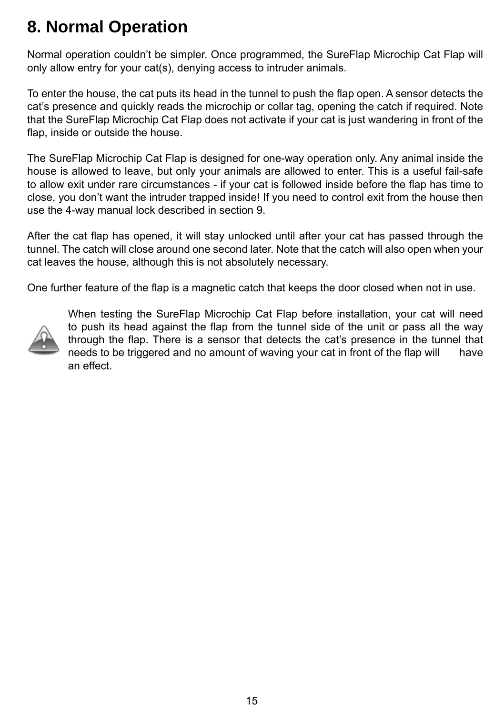## **8. Normal Operation**

Normal operation couldn't be simpler. Once programmed, the SureFlap Microchip Cat Flap will only allow entry for your cat(s), denying access to intruder animals.

To enter the house, the cat puts its head in the tunnel to push the flap open. A sensor detects the cat's presence and quickly reads the microchip or collar tag, opening the catch if required. Note that the SureFlap Microchip Cat Flap does not activate if your cat is just wandering in front of the flap, inside or outside the house.

The SureFlap Microchip Cat Flap is designed for one-way operation only. Any animal inside the house is allowed to leave, but only your animals are allowed to enter. This is a useful fail-safe to allow exit under rare circumstances - if your cat is followed inside before the flap has time to close, you don't want the intruder trapped inside! If you need to control exit from the house then use the 4-way manual lock described in section 9.

After the cat flap has opened, it will stay unlocked until after your cat has passed through the tunnel. The catch will close around one second later. Note that the catch will also open when your cat leaves the house, although this is not absolutely necessary.

One further feature of the flap is a magnetic catch that keeps the door closed when not in use.



When testing the SureFlap Microchip Cat Flap before installation, your cat will need to push its head against the flap from the tunnel side of the unit or pass all the way through the flap. There is a sensor that detects the cat's presence in the tunnel that needs to be triggered and no amount of waving your cat in front of the flap will have an effect.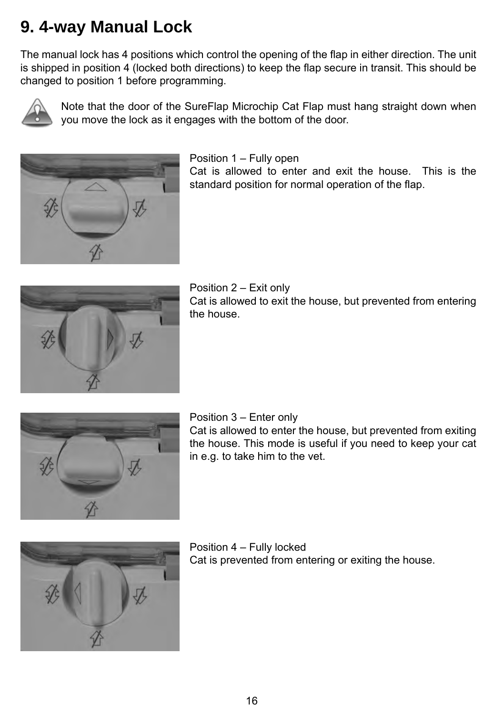# **9. 4-way Manual Lock**

The manual lock has 4 positions which control the opening of the flap in either direction. The unit is shipped in position 4 (locked both directions) to keep the flap secure in transit. This should be changed to position 1 before programming.



Note that the door of the SureFlap Microchip Cat Flap must hang straight down when you move the lock as it engages with the bottom of the door.



Position 1 – Fully open

Cat is allowed to enter and exit the house. This is the standard position for normal operation of the flap.



Position 2 – Exit only Cat is allowed to exit the house, but prevented from entering the house.



Position 3 – Enter only Cat is allowed to enter the house, but prevented from exiting the house. This mode is useful if you need to keep your cat in e.g. to take him to the vet.



Position 4 – Fully locked Cat is prevented from entering or exiting the house.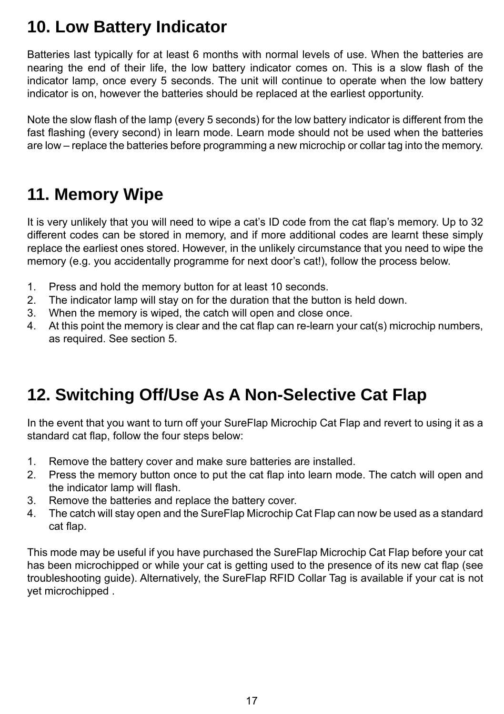# **10. Low Battery Indicator**

Batteries last typically for at least 6 months with normal levels of use. When the batteries are nearing the end of their life, the low battery indicator comes on. This is a slow flash of the indicator lamp, once every 5 seconds. The unit will continue to operate when the low battery indicator is on, however the batteries should be replaced at the earliest opportunity.

Note the slow flash of the lamp (every 5 seconds) for the low battery indicator is different from the fast flashing (every second) in learn mode. Learn mode should not be used when the batteries are low – replace the batteries before programming a new microchip or collar tag into the memory.

## **11. Memory Wipe**

It is very unlikely that you will need to wipe a cat's ID code from the cat flap's memory. Up to 32 different codes can be stored in memory, and if more additional codes are learnt these simply replace the earliest ones stored. However, in the unlikely circumstance that you need to wipe the memory (e.g. you accidentally programme for next door's cat!), follow the process below.

- 1. Press and hold the memory button for at least 10 seconds.
- 2. The indicator lamp will stay on for the duration that the button is held down.
- 3. When the memory is wiped, the catch will open and close once.
- 4. At this point the memory is clear and the cat flap can re-learn your cat(s) microchip numbers, as required. See section 5.

### **12. Switching Off/Use As A Non-Selective Cat Flap**

In the event that you want to turn off your SureFlap Microchip Cat Flap and revert to using it as a standard cat flap, follow the four steps below:

- 1. Remove the battery cover and make sure batteries are installed.
- 2. Press the memory button once to put the cat flap into learn mode. The catch will open and the indicator lamp will flash.
- 3. Remove the batteries and replace the battery cover.
- 4. The catch will stay open and the SureFlap Microchip Cat Flap can now be used as a standard cat flap.

This mode may be useful if you have purchased the SureFlap Microchip Cat Flap before your cat has been microchipped or while your cat is getting used to the presence of its new cat flap (see troubleshooting guide). Alternatively, the SureFlap RFID Collar Tag is available if your cat is not yet microchipped .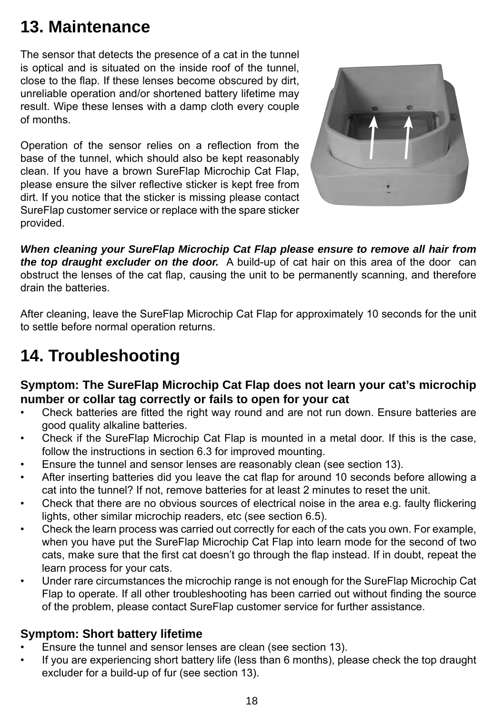### **13. Maintenance**

The sensor that detects the presence of a cat in the tunnel is optical and is situated on the inside roof of the tunnel, close to the flap. If these lenses become obscured by dirt, unreliable operation and/or shortened battery lifetime may result. Wipe these lenses with a damp cloth every couple of months.

Operation of the sensor relies on a reflection from the base of the tunnel, which should also be kept reasonably clean. If you have a brown SureFlap Microchip Cat Flap, please ensure the silver reflective sticker is kept free from dirt. If you notice that the sticker is missing please contact SureFlap customer service or replace with the spare sticker provided.



*When cleaning your SureFlap Microchip Cat Flap please ensure to remove all hair from the top draught excluder on the door.* A build-up of cat hair on this area of the door can obstruct the lenses of the cat flap, causing the unit to be permanently scanning, and therefore drain the batteries.

After cleaning, leave the SureFlap Microchip Cat Flap for approximately 10 seconds for the unit to settle before normal operation returns.

# **14. Troubleshooting**

### **Symptom: The SureFlap Microchip Cat Flap does not learn your cat's microchip number or collar tag correctly or fails to open for your cat**

- Check batteries are fitted the right way round and are not run down. Ensure batteries are good quality alkaline batteries.
- Check if the SureFlap Microchip Cat Flap is mounted in a metal door. If this is the case, follow the instructions in section 6.3 for improved mounting.
- Ensure the tunnel and sensor lenses are reasonably clean (see section 13).
- After inserting batteries did you leave the cat flap for around 10 seconds before allowing a cat into the tunnel? If not, remove batteries for at least 2 minutes to reset the unit.
- Check that there are no obvious sources of electrical noise in the area e.g. faulty flickering lights, other similar microchip readers, etc (see section 6.5).
- Check the learn process was carried out correctly for each of the cats you own. For example, when you have put the SureFlap Microchip Cat Flap into learn mode for the second of two cats, make sure that the first cat doesn't go through the flap instead. If in doubt, repeat the learn process for your cats.
- Under rare circumstances the microchip range is not enough for the SureFlap Microchip Cat Flap to operate. If all other troubleshooting has been carried out without finding the source of the problem, please contact SureFlap customer service for further assistance.

### **Symptom: Short battery lifetime**

- Ensure the tunnel and sensor lenses are clean (see section 13).
- If you are experiencing short battery life (less than 6 months), please check the top draught excluder for a build-up of fur (see section 13).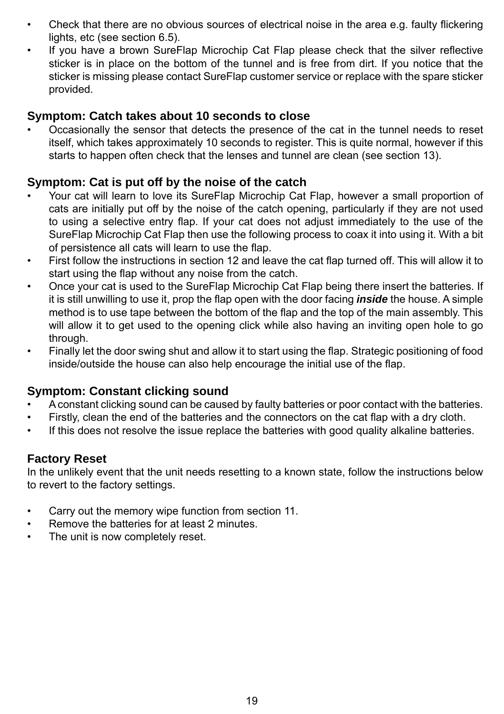- Check that there are no obvious sources of electrical noise in the area e.g. faulty flickering lights, etc (see section 6.5).
- If you have a brown SureFlap Microchip Cat Flap please check that the silver reflective sticker is in place on the bottom of the tunnel and is free from dirt. If you notice that the sticker is missing please contact SureFlap customer service or replace with the spare sticker provided.

#### **Symptom: Catch takes about 10 seconds to close**

• Occasionally the sensor that detects the presence of the cat in the tunnel needs to reset itself, which takes approximately 10 seconds to register. This is quite normal, however if this starts to happen often check that the lenses and tunnel are clean (see section 13).

#### **Symptom: Cat is put off by the noise of the catch**

- Your cat will learn to love its SureFlap Microchip Cat Flap, however a small proportion of cats are initially put off by the noise of the catch opening, particularly if they are not used to using a selective entry flap. If your cat does not adjust immediately to the use of the SureFlap Microchip Cat Flap then use the following process to coax it into using it. With a bit of persistence all cats will learn to use the flap.
- First follow the instructions in section 12 and leave the cat flap turned off. This will allow it to start using the flap without any noise from the catch.
- Once your cat is used to the SureFlap Microchip Cat Flap being there insert the batteries. If it is still unwilling to use it, prop the flap open with the door facing *inside* the house. A simple method is to use tape between the bottom of the flap and the top of the main assembly. This will allow it to get used to the opening click while also having an inviting open hole to go through.
- Finally let the door swing shut and allow it to start using the flap. Strategic positioning of food inside/outside the house can also help encourage the initial use of the flap.

#### **Symptom: Constant clicking sound**

- A constant clicking sound can be caused by faulty batteries or poor contact with the batteries.
- Firstly, clean the end of the batteries and the connectors on the cat flap with a dry cloth.
- If this does not resolve the issue replace the batteries with good quality alkaline batteries.

#### **Factory Reset**

In the unlikely event that the unit needs resetting to a known state, follow the instructions below to revert to the factory settings.

- Carry out the memory wipe function from section 11.
- Remove the batteries for at least 2 minutes.
- The unit is now completely reset.